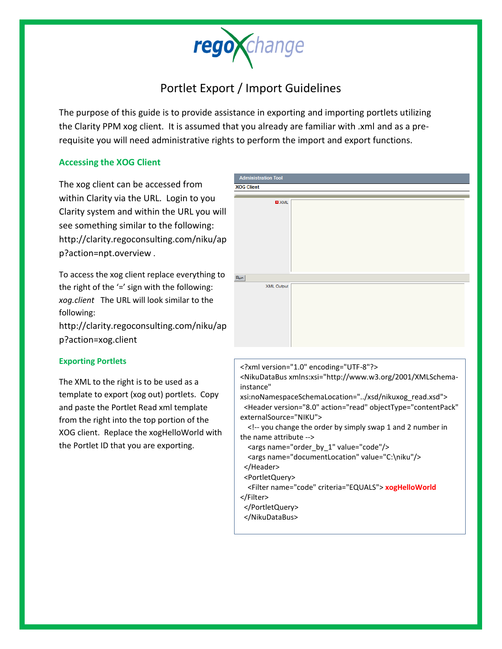

## Portlet Export / Import Guidelines

The purpose of this guide is to provide assistance in exporting and importing portlets utilizing the Clarity PPM xog client. It is assumed that you already are familiar with .xml and as a prerequisite you will need administrative rights to perform the import and export functions.

## **Accessing the XOG Client**

The xog client can be accessed from within Clarity via the URL. Login to you Clarity system and within the URL you will see something similar to the following: http://clarity.regoconsulting.com/niku/ap p?action=npt.overview .

To access the xog client replace everything to the right of the  $\prime =$ ' sign with the following: *xog.client* The URL will look similar to the following:

http://clarity.regoconsulting.com/niku/ap p?action=xog.client

## **Exporting Portlets**

The XML to the right is to be used as a template to export (xog out) portlets. Copy and paste the Portlet Read xml template from the right into the top portion of the XOG client. Replace the xogHelloWorld with the Portlet ID that you are exporting.

| <b>Administration Tool</b> |                                                                                                                                                                                                    |                                                                                                                                             |  |
|----------------------------|----------------------------------------------------------------------------------------------------------------------------------------------------------------------------------------------------|---------------------------------------------------------------------------------------------------------------------------------------------|--|
| <b>XOG Client</b>          |                                                                                                                                                                                                    |                                                                                                                                             |  |
|                            |                                                                                                                                                                                                    |                                                                                                                                             |  |
| $\blacksquare$ XML         |                                                                                                                                                                                                    |                                                                                                                                             |  |
| Run<br><b>XML Output</b>   |                                                                                                                                                                                                    |                                                                                                                                             |  |
|                            |                                                                                                                                                                                                    |                                                                                                                                             |  |
|                            | xml version="1.0" encoding="UTF-8"?<br><nikudatabus <br="" xmlns:xsi="http://www.w3.org/2001/XMLSchema-&lt;/td&gt;&lt;/tr&gt;&lt;tr&gt;&lt;td&gt;instance">externalSource="NIKU"&gt;</nikudatabus> | xsi:noNamespaceSchemaLocation="/xsd/nikuxog_read.xsd"><br><header <="" action="read" objecttype="contentPack" td="" version="8.0"></header> |  |

 <!-- you change the order by simply swap 1 and 2 number in the name attribute -->

<args name="order\_by\_1" value="code"/>

<args name="documentLocation" value="C:\niku"/>

</Header>

<PortletQuery>

 <Filter name="code" criteria="EQUALS"> **xogHelloWorld** </Filter>

</PortletQuery>

</NikuDataBus>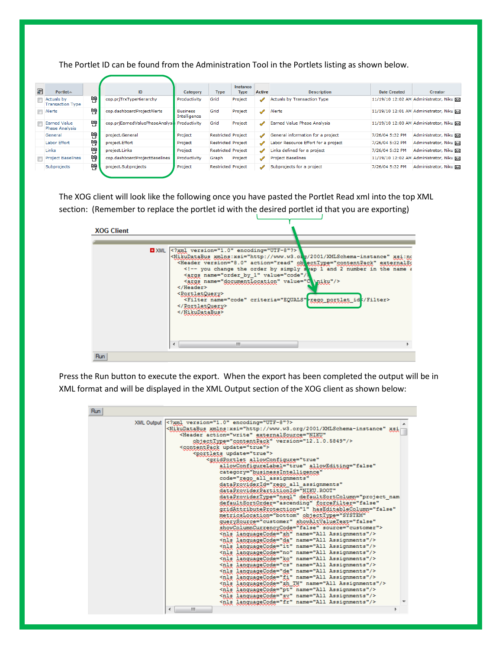The Portlet ID can be found from the Administration Tool in the Portlets listing as shown below.

| <b>Juri</b> | Portlet $\triangle$                          |   | ID                             | Category                        | <b>Type</b>               | Instance<br><b>Type</b> | Active        | <b>Description</b>                  | Date Created    | Creator                                 |
|-------------|----------------------------------------------|---|--------------------------------|---------------------------------|---------------------------|-------------------------|---------------|-------------------------------------|-----------------|-----------------------------------------|
|             | <b>Actuals by</b><br><b>Transaction Type</b> | 鸭 | cop.priTrxTypeHierarchy        | Productivity                    | Grid                      | Project                 | $\mathscr{A}$ | <b>Actuals by Transaction Type</b>  |                 | 11/19/10 12:02 AM Administrator, Niku   |
|             | $\blacksquare$ Alerts                        | 鸭 | cop.dashboardProjectAlerts     | <b>Business</b><br>Intelligence | Grid                      | Project                 | $\mathscr{A}$ | Alerts                              |                 | 11/19/10 12:01 AM Administrator, Niku   |
|             | <b>Earned Value</b><br><b>Phase Analysis</b> | 먡 | cop.prjEarnedValuePhaseAnalysi | Productivity                    | Grid                      | Project                 | ◢             | Earned Value Phase Analysis         |                 | 11/19/10 12:00 AM Administrator, Niku X |
|             | General                                      | 鸭 | project.General                | Project                         | <b>Restricted Project</b> |                         | ◢             | General information for a project   | 7/26/04 5:32 PM | Administrator, Niku                     |
|             | Labor Effort                                 | 鴨 | project. Effort                | Project                         | <b>Restricted Project</b> |                         | $\mathscr{M}$ | Labor Resource Effort for a project | 7/26/04 5:32 PM | Administrator, Niku                     |
|             | Links                                        | 鴨 | project.Links                  | Project                         | <b>Restricted Project</b> |                         | ◢             | Links defined for a project         | 7/26/04 5:32 PM | Administrator, Niku Da                  |
|             | <b>Project Baselines</b>                     | 먠 | cop.dashboardProjectBaselines  | Productivity                    | Graph                     | Project                 | ◢             | <b>Project Baselines</b>            |                 | 11/19/10 12:02 AM Administrator, Niku X |
|             | Subprojects                                  | 뺨 | project.Subprojects            | Project                         | <b>Restricted Project</b> |                         | $\mathscr{L}$ | Subprojects for a project           | 7/26/04 5:32 PM | Administrator, Niku                     |

The XOG client will look like the following once you have pasted the Portlet Read xml into the top XML section: (Remember to replace the portlet id with the desired portlet id that you are exporting)

| <b>XOG Client</b> |                                                                                                                                                                                                                                                                                                                                                                                                                                                                                                                                                                            |
|-------------------|----------------------------------------------------------------------------------------------------------------------------------------------------------------------------------------------------------------------------------------------------------------------------------------------------------------------------------------------------------------------------------------------------------------------------------------------------------------------------------------------------------------------------------------------------------------------------|
|                   | * XML xml version="1.0" encoding="UTF-8"?<br><mikudatabus xmlns:xsi="http://www.w3.org/2001/XMLSchema-instance" xsi:no<br=""><header action="read" externals:<br="" oblecttype="contentPack" version="8.0">&lt;!-- you change the order by simply svap 1 and 2 number in the name a&lt;br&gt;<args 3<br="" name="order by 1" value="code"><args name="documentLocation" value="C \niku"></args><br/></args></header><br/><portletquery><br/><filter :="" criteria="EQUALS" filter="" id="" name="code" portlet="" rego=""><br/></filter></portletquery><br/></mikudatabus> |
|                   | ш                                                                                                                                                                                                                                                                                                                                                                                                                                                                                                                                                                          |
| Run               |                                                                                                                                                                                                                                                                                                                                                                                                                                                                                                                                                                            |

Press the Run button to execute the export. When the export has been completed the output will be in XML format and will be displayed in the XML Output section of the XOG client as shown below:

| Run |                                                                                                                                                                                                                                                                                                                                                                                                                                                                                                                                                                                                                                                                                                                                                                                                                                                                                                                                                                                                                                                                                                                                                                                                                                                                                                                                                                                                                                       |
|-----|---------------------------------------------------------------------------------------------------------------------------------------------------------------------------------------------------------------------------------------------------------------------------------------------------------------------------------------------------------------------------------------------------------------------------------------------------------------------------------------------------------------------------------------------------------------------------------------------------------------------------------------------------------------------------------------------------------------------------------------------------------------------------------------------------------------------------------------------------------------------------------------------------------------------------------------------------------------------------------------------------------------------------------------------------------------------------------------------------------------------------------------------------------------------------------------------------------------------------------------------------------------------------------------------------------------------------------------------------------------------------------------------------------------------------------------|
|     | XML Output xml version="1.0" encoding="UTF-8"?<br><nikudatabus xmlns:xsi="http://www.w3.org/2001/XMLSchema-instance" xsi<br=""><header <br="" action="write" externalsource="NIKU">objectType="contentPack" version="12.1.0.5849"/&gt;<br/><contentpack update="true"><br/><portlets update="true"><br/><gridportlet <br="" allowconfigure="true">allowConfigureLabel="true" allowEditing="false"<br/>category="businessIntelligence"<br/>code="rego all assignments"<br/>dataProviderId="rego all assignments"<br/>dataProviderPartitionId="NIKU.ROOT"<br/>dataProviderType="nsql" defaultSortColumn="project nam<br/>defaultSortOrder="ascending" forceFilter="false"<br/>gridAttributeProtection="1" hasEditableColumn="false"<br/>metricsLocation="bottom" objectType="SYSTEM"<br/>quervSource="customer" showAltValueText="false"<br/>showColumnCurrencyCode="false" source="customer"&gt;<br/><nls languagecode="zh" name="All Assignments"></nls><br/><nls languagecode="da" name="All Assignments"></nls><br/><nls languagecode="it" name="All Assignments"></nls><br/><nls languagecode="no" name="All Assignments"></nls><br/><nls languagecode="ko" name="All Assignments"></nls><br/><nls languagecode="cs" name="All Assignments"></nls><br/><nls languagecode="de" name="All Assignments"></nls><br/><nls languagecode="fi" name="All Assignments"></nls></gridportlet></portlets></contentpack></header></nikudatabus> |
|     | <nls languagecode="zh TW" name="All Assignments"></nls><br><nls languagecode="pt" name="All Assignments"></nls><br><nls languagecode="sv" name="All Assignments"></nls><br><nls languagecode="fr" name="All Assignments"></nls><br>ш                                                                                                                                                                                                                                                                                                                                                                                                                                                                                                                                                                                                                                                                                                                                                                                                                                                                                                                                                                                                                                                                                                                                                                                                  |